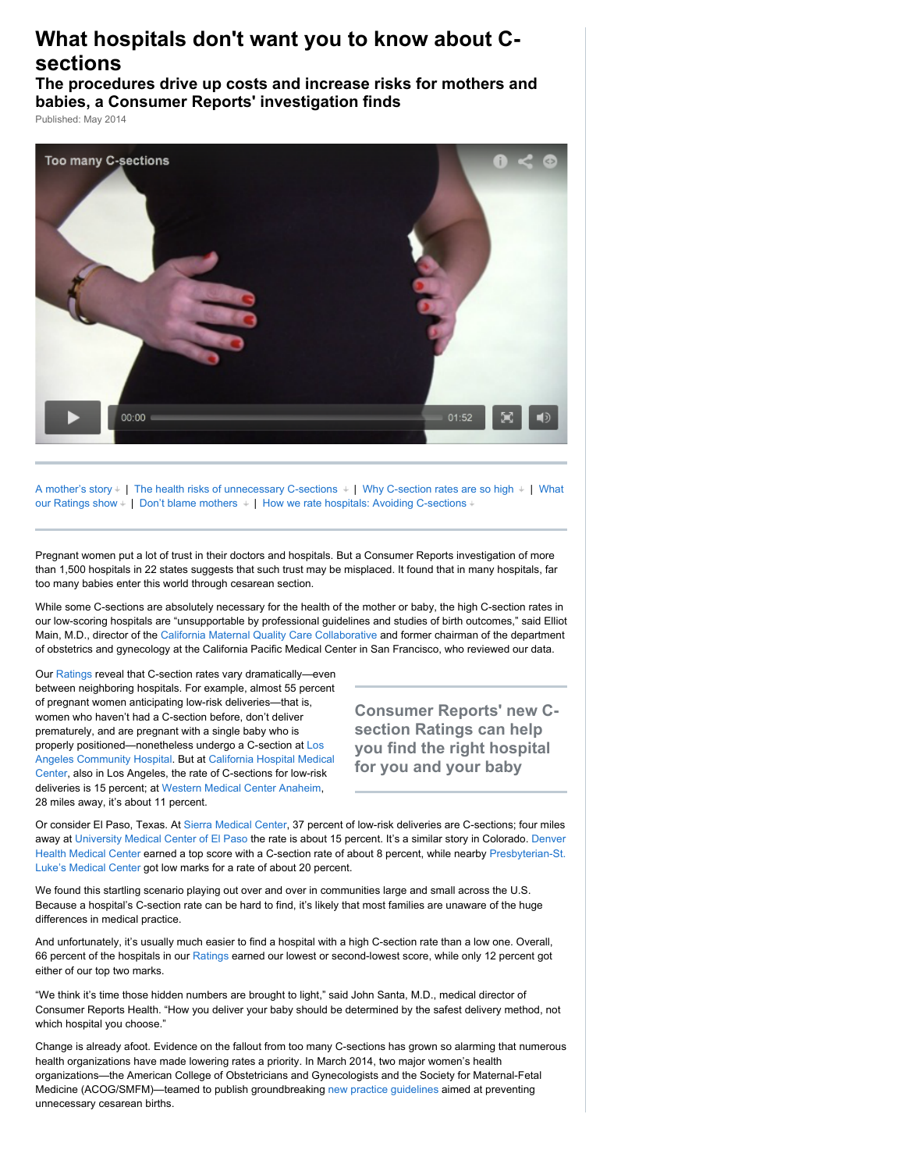# **What hospitals don't want you to know about Csections**

**The procedures drive up costs and increase risks for mothers and babies, a Consumer Reports' investigation finds**

Published: May 2014



A mother's story  $\pm$  | The health risks of unnecessary C-sections  $\pm$  | Why C-section rates are so high  $\pm$  | What our Ratings show  $+$  | [Don't blame mothers](javascript:void(0);)  $+$  | [How we rate hospitals: Avoiding C-sections](javascript:void(0);)  $+$ 

Pregnant women put a lot of trust in their doctors and hospitals. But a Consumer Reports investigation of more than 1,500 hospitals in 22 states suggests that such trust may be misplaced. It found that in many hospitals, far too many babies enter this world through cesarean section.

While some C-sections are absolutely necessary for the health of the mother or baby, the high C-section rates in our low-scoring hospitals are "unsupportable by professional guidelines and studies of birth outcomes," said Elliot Main, M.D., director of the [California Maternal Quality Care Collaborative](https://www.cmqcc.org/) and former chairman of the department of obstetrics and gynecology at the California Pacific Medical Center in San Francisco, who reviewed our data.

Our [Ratings](http://www.consumerreports.org/health/doctors-hospitals/hospital-ratings.htm) reveal that C-section rates vary dramatically—even between neighboring hospitals. For example, almost 55 percent of pregnant women anticipating low-risk deliveries—that is, women who haven't had a C-section before, don't deliver prematurely, and are pregnant with a single baby who is properly positioned—nonetheless undergo a C-section at Los [Angeles Community Hospital. But at California Hospital Medi](http://www.consumerreports.org/health/doctors-hospitals/hospitals/hospital-ratings/los-angeles-community-hospital-6930060-report-card.htm)[cal](http://www.consumerreports.org/health/doctors-hospitals/hospitals/hospital-ratings/california-hospital-medical-center-6931440-report-card.htm) Center, also in Los Angeles, the rate of C-sections for low-risk deliveries is 15 percent; at [Western Medical Center Anaheim,](http://www.consumerreports.org/health/doctors-hospitals/hospitals/hospital-ratings/western-medical-center-anaheim-6930094-report-card.htm) 28 miles away, it's about 11 percent.

**Consumer Reports' new Csection Ratings can help you find the right hospital for you and your baby**

Or consider El Paso, Texas. At [Sierra Medical Center](http://www.consumerreports.org/health/doctors-hospitals/hospitals/hospital-ratings/sierra-medical-center-6741285-report-card.htm), 37 percent of low-risk deliveries are C-sections; four miles away at [University Medical Center of El Paso](http://www.consumerreports.org/health/doctors-hospitals/hospitals/hospital-ratings/university-medical-center-of-el-paso-6741240-report-card.htm) the rate is about 15 percent. It's a similar story in Colorado. Denver [Health Medical Center earned a top score with a C-section rate of about 8 percent, while nearby Presbyterian-St.](http://www.consumerreports.org/health/doctors-hospitals/hospitals/hospital-ratings/denver-health-medical-center-6840290-report-card.htm) Luke's Medical Center got low marks for a rate of about 20 percent.

We found this startling scenario playing out over and over in communities large and small across the U.S. Because a hospital's C-section rate can be hard to find, it's likely that most families are unaware of the huge differences in medical practice.

And unfortunately, it's usually much easier to find a hospital with a high C-section rate than a low one. Overall, 66 percent of the hospitals in our [Ratings](http://www.consumerreports.org/health/doctors-hospitals/hospital-ratings.htm) earned our lowest or second-lowest score, while only 12 percent got either of our top two marks.

"We think it's time those hidden numbers are brought to light," said John Santa, M.D., medical director of Consumer Reports Health. "How you deliver your baby should be determined by the safest delivery method, not which hospital you choose."

Change is already afoot. Evidence on the fallout from too many C-sections has grown so alarming that numerous health organizations have made lowering rates a priority. In March 2014, two major women's health organizations—the American College of Obstetricians and Gynecologists and the Society for Maternal-Fetal Medicine (ACOG/SMFM)—teamed to publish groundbreaking [new practice guidelines](http://www.acog.org/Resources_And_Publications/Obstetric_Care_Consensus_Series/Safe_Prevention_of_the_Primary_Cesarean_Delivery) aimed at preventing unnecessary cesarean births.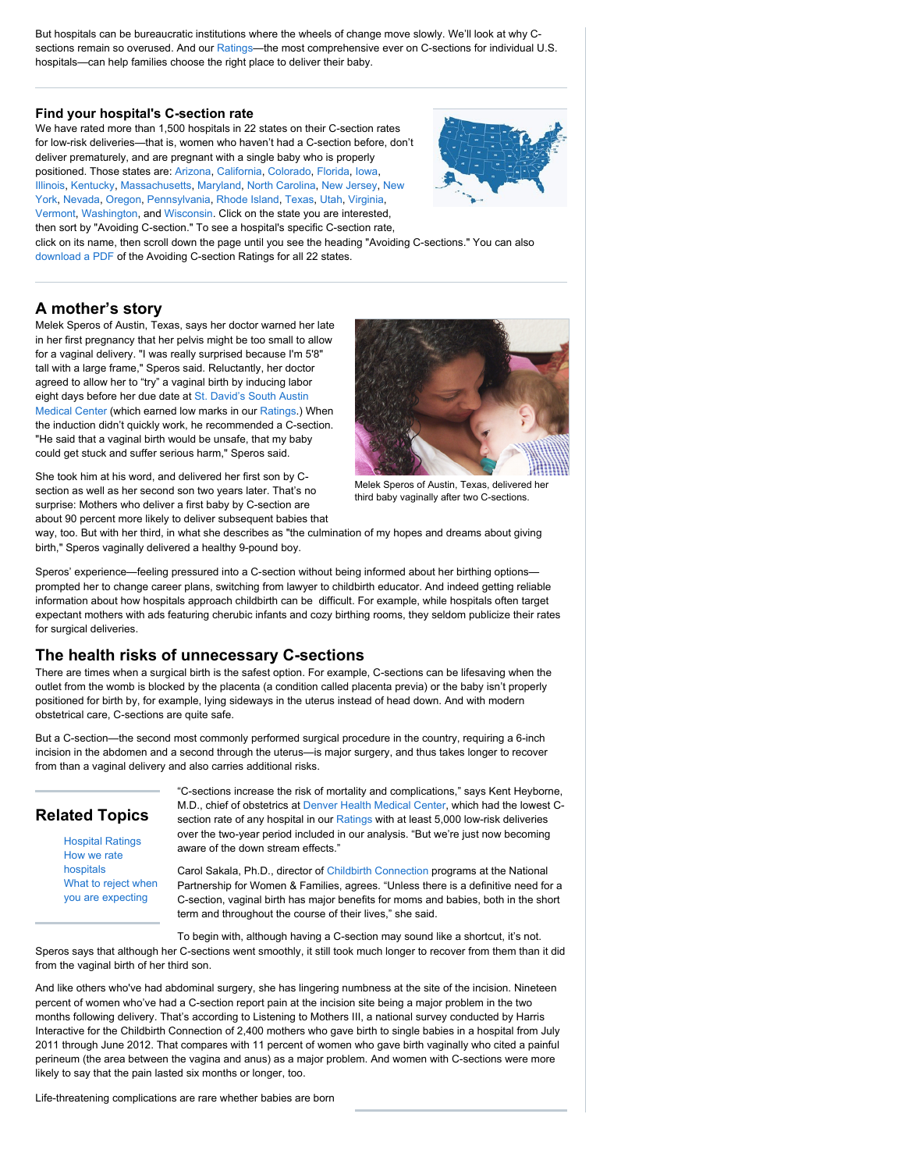But hospitals can be bureaucratic institutions where the wheels of change move slowly. We'll look at why C-sections remain so overused. And our [Ratings—](http://www.consumerreports.org/health/doctors-hospitals/hospital-ratings.htm)the most comprehensive ever on C-sections for individual U.S. hospitals—can help families choose the right place to deliver their baby.

### **[Find your hospital's C-section rate](http://www.consumerreports.org/health/doctors-hospitals/hospital-ratings.htm)**

We have rated more than 1,500 hospitals in 22 states on their C-section rates for low-risk deliveries—that is, women who haven't had a C-section before, don't deliver prematurely, and are pregnant with a single baby who is properly positioned. Those states are: [Arizona,](http://www.consumerreports.org/health/doctors-hospitals/hospital-ratings/ratings/search-results.htm?state=AZ) [California,](http://www.consumerreports.org/health/doctors-hospitals/hospital-ratings/ratings/search-results.htm?state=CA) [Colorado,](http://www.consumerreports.org/health/doctors-hospitals/hospital-ratings/ratings/search-results.htm?state=CO) [Florida,](http://www.consumerreports.org/health/doctors-hospitals/hospital-ratings/ratings/search-results.htm?state=FL) [Iowa,](http://www.consumerreports.org/health/doctors-hospitals/hospital-ratings/ratings/search-results.htm?state=IA) [Illinois](http://www.consumerreports.org/health/doctors-hospitals/hospital-ratings/ratings/search-results.htm?state=IL)[,](http://www.consumerreports.org/health/doctors-hospitals/hospital-ratings/ratings/search-results.htm?state=NY) [Kentucky](http://www.consumerreports.org/health/doctors-hospitals/hospital-ratings/ratings/search-results.htm?state=KY)[, M](http://www.consumerreports.org/health/doctors-hospitals/hospital-ratings/ratings/search-results.htm?state=NY)[assachusetts](http://www.consumerreports.org/health/doctors-hospitals/hospital-ratings/ratings/search-results.htm?state=MA)[,](http://www.consumerreports.org/health/doctors-hospitals/hospital-ratings/ratings/search-results.htm?state=NY) [Maryland](http://www.consumerreports.org/health/doctors-hospitals/hospital-ratings/ratings/search-results.htm?state=MD)[,](http://www.consumerreports.org/health/doctors-hospitals/hospital-ratings/ratings/search-results.htm?state=NY) [North Carolina](http://www.consumerreports.org/health/doctors-hospitals/hospital-ratings/ratings/search-results.htm?state=NC)[,](http://www.consumerreports.org/health/doctors-hospitals/hospital-ratings/ratings/search-results.htm?state=NY) [New Jersey](http://www.consumerreports.org/health/doctors-hospitals/hospital-ratings/ratings/search-results.htm?state=NJ)[, New](http://www.consumerreports.org/health/doctors-hospitals/hospital-ratings/ratings/search-results.htm?state=NY) York, [Nevada,](http://www.consumerreports.org/health/doctors-hospitals/hospital-ratings/ratings/search-results.htm?state=NV) [Oregon,](http://www.consumerreports.org/health/doctors-hospitals/hospital-ratings/ratings/search-results.htm?state=OR) [Pennsylvania,](http://www.consumerreports.org/health/doctors-hospitals/hospital-ratings/ratings/search-results.htm?state=PA) [Rhode Island,](http://www.consumerreports.org/health/doctors-hospitals/hospital-ratings/ratings/search-results.htm?state=RI) [Texas,](http://www.consumerreports.org/health/doctors-hospitals/hospital-ratings/ratings/search-results.htm?state=TX) [Utah,](http://www.consumerreports.org/health/doctors-hospitals/hospital-ratings/ratings/search-results.htm?state=UT) [Virginia,](http://www.consumerreports.org/health/doctors-hospitals/hospital-ratings/ratings/search-results.htm?state=VA) [Vermont,](http://www.consumerreports.org/health/doctors-hospitals/hospital-ratings/ratings/search-results.htm?state=VT) [Washington,](http://www.consumerreports.org/health/doctors-hospitals/hospital-ratings/ratings/search-results.htm?state=WA) and [Wisconsin.](http://www.consumerreports.org/health/doctors-hospitals/hospital-ratings/ratings/search-results.htm?state=WI) Click on the state you are interested,



then sort by "Avoiding C-section." To see a hospital's specific C-section rate, click on its name, then scroll down the page until you see the heading "Avoiding C-sections." You can also [download a PDF](http://www.consumerreports.org/cro/resources/streaming/PDFs/Consumer-Reports-Hospital-Ratings-Avoiding-C-sections-FULL.pdf) of the Avoiding C-section Ratings for all 22 states.

# **A mother's story**

Melek Speros of Austin, Texas, says her doctor warned her late in her first pregnancy that her pelvis might be too small to allow for a vaginal delivery. "I was really surprised because I'm 5'8" tall with a large frame," Speros said. Reluctantly, her doctor agreed to allow her to "try" a vaginal birth by inducing labor eight days before her due date at St. David's South Austin [Medical Center \(which earned low marks in our Ratings.\) W](http://www.consumerreports.org/health/doctors-hospitals/hospitals/hospital-ratings/st-davids-south-austin-medical-center-6740095-report-card.htm)hen the induction didn't quickly work, he recommended a C-section. "He said that a vaginal birth would be unsafe, that my baby could get stuck and suffer serious harm," Speros said.



She took him at his word, and delivered her first son by Csection as well as her second son two years later. That's no surprise: Mothers who deliver a first baby by C-section are about 90 percent more likely to deliver subsequent babies that

Melek Speros of Austin, Texas, delivered her third baby vaginally after two C-sections.

way, too. But with her third, in what she describes as "the culmination of my hopes and dreams about giving birth," Speros vaginally delivered a healthy 9-pound boy.

Speros' experience—feeling pressured into a C-section without being informed about her birthing options prompted her to change career plans, switching from lawyer to childbirth educator. And indeed getting reliable information about how hospitals approach childbirth can be difficult. For example, while hospitals often target expectant mothers with ads featuring cherubic infants and cozy birthing rooms, they seldom publicize their rates for surgical deliveries.

# **The health risks of unnecessary C-sections**

There are times when a surgical birth is the safest option. For example, C-sections can be lifesaving when the outlet from the womb is blocked by the placenta (a condition called placenta previa) or the baby isn't properly positioned for birth by, for example, lying sideways in the uterus instead of head down. And with modern obstetrical care, C-sections are quite safe.

But a C-section—the second most commonly performed surgical procedure in the country, requiring a 6-inch incision in the abdomen and a second through the uterus—is major surgery, and thus takes longer to recover from than a vaginal delivery and also carries additional risks.

# **Related Topics**

[Hospital Ratings](http://www.consumerreports.org/health/doctors-hospitals/hospital-ratings.htm) [How we rate](http://www.consumerreports.org/cro/2012/10/how-we-rate-hospitals/index.htm) hospitals [What to reject when](http://www.consumerreports.org/cro/2012/05/what-to-reject-when-you-re-expecting/index.htm) you are expecting

"C-sections increase the risk of mortality and complications," says Kent Heyborne, M.D., chief of obstetrics at [Denver Health Medical Center,](http://www.consumerreports.org/health/doctors-hospitals/hospitals/hospital-ratings/denver-health-medical-center-6840290-report-card.htm) which had the lowest C-section rate of any hospital in our [Ratings](http://www.consumerreports.org/health/doctors-hospitals/hospital-ratings.htm) with at least 5,000 low-risk deliveries over the two-year period included in our analysis. "But we're just now becoming aware of the down stream effects."

Carol Sakala, Ph.D., director of [Childbirth Connection](http://www.childbirthconnection.org/) programs at the National Partnership for Women & Families, agrees. "Unless there is a definitive need for a C-section, vaginal birth has major benefits for moms and babies, both in the short term and throughout the course of their lives," she said.

To begin with, although having a C-section may sound like a shortcut, it's not. Speros says that although her C-sections went smoothly, it still took much longer to recover from them than it did from the vaginal birth of her third son.

And like others who've had abdominal surgery, she has lingering numbness at the site of the incision. Nineteen percent of women who've had a C-section report pain at the incision site being a major problem in the two months following delivery. That's according to Listening to Mothers III, a national survey conducted by Harris Interactive for the Childbirth Connection of 2,400 mothers who gave birth to single babies in a hospital from July 2011 through June 2012. That compares with 11 percent of women who gave birth vaginally who cited a painful perineum (the area between the vagina and anus) as a major problem. And women with C-sections were more likely to say that the pain lasted six months or longer, too.

Life-threatening complications are rare whether babies are born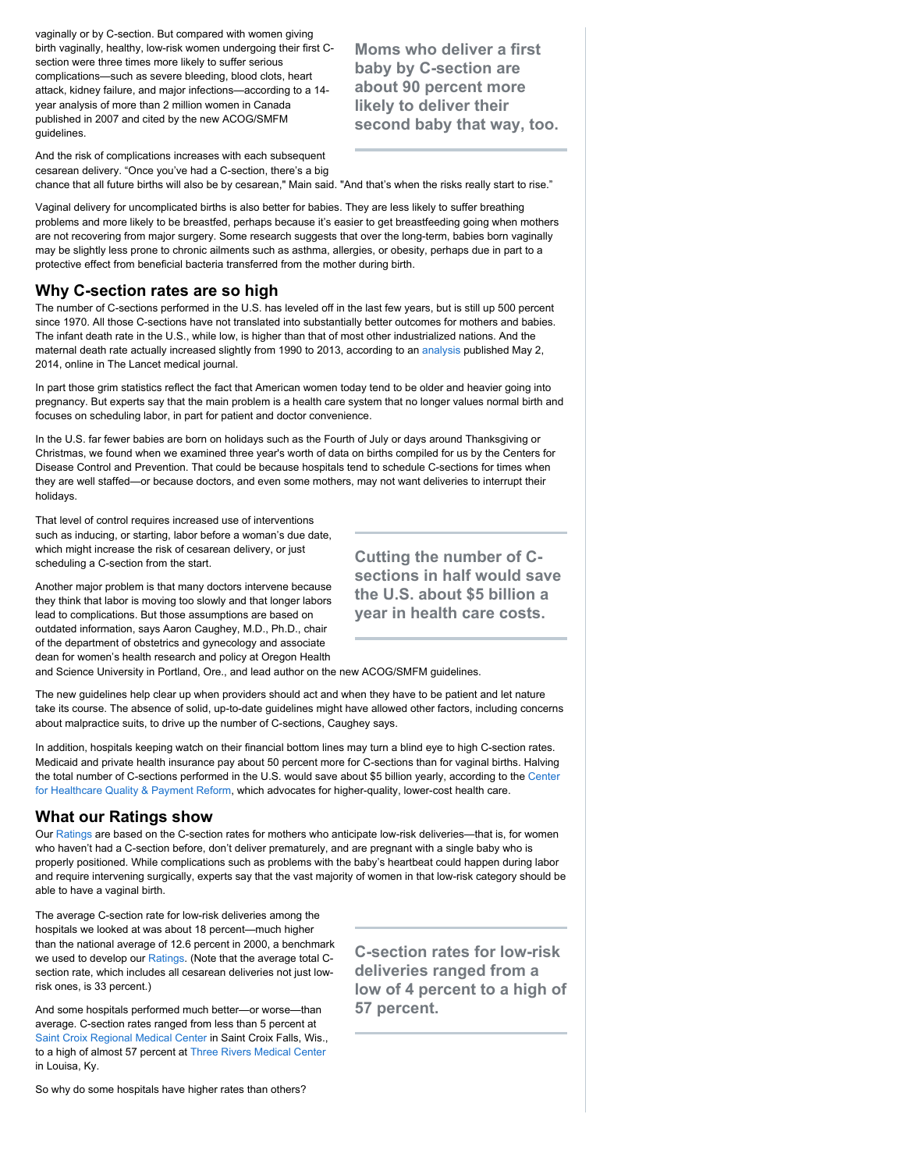vaginally or by C-section. But compared with women giving birth vaginally, healthy, low-risk women undergoing their first Csection were three times more likely to suffer serious complications—such as severe bleeding, blood clots, heart attack, kidney failure, and major infections—according to a 14 year analysis of more than 2 million women in Canada published in 2007 and cited by the new ACOG/SMFM guidelines.

**Moms who deliver a first baby by C-section are about 90 percent more likely to deliver their second baby that way, too.**

And the risk of complications increases with each subsequent cesarean delivery. "Once you've had a C-section, there's a big

chance that all future births will also be by cesarean," Main said. "And that's when the risks really start to rise."

Vaginal delivery for uncomplicated births is also better for babies. They are less likely to suffer breathing problems and more likely to be breastfed, perhaps because it's easier to get breastfeeding going when mothers are not recovering from major surgery. Some research suggests that over the long-term, babies born vaginally may be slightly less prone to chronic ailments such as asthma, allergies, or obesity, perhaps due in part to a protective effect from beneficial bacteria transferred from the mother during birth.

## **Why C-section rates are so high**

The number of C-sections performed in the U.S. has leveled off in the last few years, but is still up 500 percent since 1970. All those C-sections have not translated into substantially better outcomes for mothers and babies. The infant death rate in the U.S., while low, is higher than that of most other industrialized nations. And the maternal death rate actually increased slightly from 1990 to 2013, according to an [analysis](http://www.thelancet.com/journals/langlo/article/PIIS2214-109X%2814%2970227-X/abstract) published May 2, 2014, online in The Lancet medical journal.

In part those grim statistics reflect the fact that American women today tend to be older and heavier going into pregnancy. But experts say that the main problem is a health care system that no longer values normal birth and focuses on scheduling labor, in part for patient and doctor convenience.

In the U.S. far fewer babies are born on holidays such as the Fourth of July or days around Thanksgiving or Christmas, we found when we examined three year's worth of data on births compiled for us by the Centers for Disease Control and Prevention. That could be because hospitals tend to schedule C-sections for times when they are well staffed—or because doctors, and even some mothers, may not want deliveries to interrupt their holidays.

That level of control requires increased use of interventions such as inducing, or starting, labor before a woman's due date, which might increase the risk of cesarean delivery, or just scheduling a C-section from the start.

Another major problem is that many doctors intervene because they think that labor is moving too slowly and that longer labors lead to complications. But those assumptions are based on outdated information, says Aaron Caughey, M.D., Ph.D., chair of the department of obstetrics and gynecology and associate dean for women's health research and policy at Oregon Health

and Science University in Portland, Ore., and lead author on the new ACOG/SMFM guidelines.

The new guidelines help clear up when providers should act and when they have to be patient and let nature take its course. The absence of solid, up-to-date guidelines might have allowed other factors, including concerns about malpractice suits, to drive up the number of C-sections, Caughey says.

In addition, hospitals keeping watch on their financial bottom lines may turn a blind eye to high C-section rates. Medicaid and private health insurance pay about 50 percent more for C-sections than for vaginal births. Halving [the total number of C-sections performed in the U.S. would save about \\$5 billion yearly, according to the Center](http://chqpr.org/blog/index.php/2013/01/) for Healthcare Quality & Payment Reform, which advocates for higher-quality, lower-cost health care.

## **What our Ratings show**

Our [Ratings](http://www.consumerreports.org/health/doctors-hospitals/hospital-ratings.htm) are based on the C-section rates for mothers who anticipate low-risk deliveries—that is, for women who haven't had a C-section before, don't deliver prematurely, and are pregnant with a single baby who is properly positioned. While complications such as problems with the baby's heartbeat could happen during labor and require intervening surgically, experts say that the vast majority of women in that low-risk category should be able to have a vaginal birth.

The average C-section rate for low-risk deliveries among the hospitals we looked at was about 18 percent—much higher than the national average of 12.6 percent in 2000, a benchmark we used to develop our [Ratings.](http://www.consumerreports.org/health/doctors-hospitals/hospital-ratings.htm) (Note that the average total Csection rate, which includes all cesarean deliveries not just lowrisk ones, is 33 percent.)

And some hospitals performed much better—or worse—than average. C-section rates ranged from less than 5 percent at [Saint Croix Regional Medical Center](http://www.consumerreports.org/health/doctors-hospitals/hospitals/hospital-ratings/st-croix-regional-medical-center-6451695-report-card.htm) in Saint Croix Falls, Wis., to a high of almost 57 percent at [Three Rivers Medical Center](http://www.consumerreports.org/health/doctors-hospitals/hospitals/hospital-ratings/three-rivers-medical-center-6920005-report-card.htm) in Louisa, Ky.

So why do some hospitals have higher rates than others?

**Cutting the number of Csections in half would save the U.S. about \$5 billion a year in health care costs.**

**C-section rates for low-risk deliveries ranged from a low of 4 percent to a high of 57 percent.**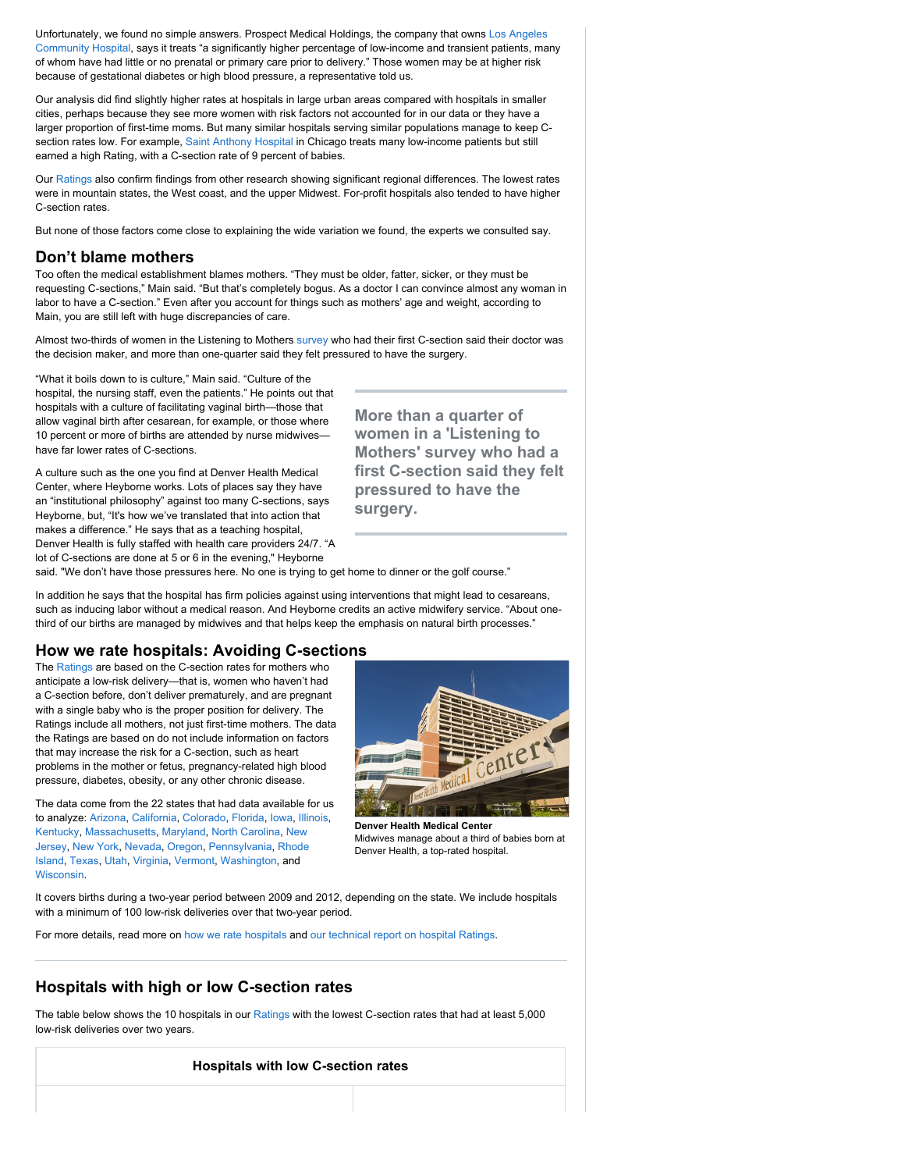Unfortunately, we found no simple answers. Prospect Medical Holdings, the company that owns Los Angeles [Community Hospital, says it treats "a significantly higher percentage of low-income and transient patients, ma](http://www.consumerreports.org/health/doctors-hospitals/hospitals/hospital-ratings/los-angeles-community-hospital-6930060-report-card.htm)ny of whom have had little or no prenatal or primary care prior to delivery." Those women may be at higher risk because of gestational diabetes or high blood pressure, a representative told us.

Our analysis did find slightly higher rates at hospitals in large urban areas compared with hospitals in smaller cities, perhaps because they see more women with risk factors not accounted for in our data or they have a larger proportion of first-time moms. But many similar hospitals serving similar populations manage to keep C-section rates low. For example, [Saint Anthony Hospital](http://www.consumerreports.org/health/doctors-hospitals/hospitals/hospital-ratings/saint-anthony-hospital-6430710-report-card.htm) in Chicago treats many low-income patients but still earned a high Rating, with a C-section rate of 9 percent of babies.

Our [Ratings](http://www.consumerreports.org/health/doctors-hospitals/hospital-ratings.htm) also confirm findings from other research showing significant regional differences. The lowest rates were in mountain states, the West coast, and the upper Midwest. For-profit hospitals also tended to have higher C-section rates.

But none of those factors come close to explaining the wide variation we found, the experts we consulted say.

## **Don't blame mothers**

Too often the medical establishment blames mothers. "They must be older, fatter, sicker, or they must be requesting C-sections," Main said. "But that's completely bogus. As a doctor I can convince almost any woman in labor to have a C-section." Even after you account for things such as mothers' age and weight, according to Main, you are still left with huge discrepancies of care.

Almost two-thirds of women in the Listening to Mothers [survey](http://www.childbirthconnection.org/article.asp?ck=10068) who had their first C-section said their doctor was the decision maker, and more than one-quarter said they felt pressured to have the surgery.

"What it boils down to is culture," Main said. "Culture of the hospital, the nursing staff, even the patients." He points out that hospitals with a culture of facilitating vaginal birth—those that allow vaginal birth after cesarean, for example, or those where 10 percent or more of births are attended by nurse midwives have far lower rates of C-sections.

A culture such as the one you find at Denver Health Medical Center, where Heyborne works. Lots of places say they have an "institutional philosophy" against too many C-sections, says Heyborne, but, "It's how we've translated that into action that makes a difference." He says that as a teaching hospital, Denver Health is fully staffed with health care providers 24/7. "A lot of C-sections are done at 5 or 6 in the evening," Heyborne

**More than a quarter of women in a 'Listening to Mothers' survey who had a first C-section said they felt pressured to have the surgery.**

said. "We don't have those pressures here. No one is trying to get home to dinner or the golf course."

In addition he says that the hospital has firm policies against using interventions that might lead to cesareans, such as inducing labor without a medical reason. And Heyborne credits an active midwifery service. "About onethird of our births are managed by midwives and that helps keep the emphasis on natural birth processes."

## **How we rate hospitals: Avoiding C-sections**

The [Ratings](http://www.consumerreports.org/health/doctors-hospitals/hospital-ratings.htm) are based on the C-section rates for mothers who anticipate a low-risk delivery—that is, women who haven't had a C-section before, don't deliver prematurely, and are pregnant with a single baby who is the proper position for delivery. The Ratings include all mothers, not just first-time mothers. The data the Ratings are based on do not include information on factors that may increase the risk for a C-section, such as heart problems in the mother or fetus, pregnancy-related high blood pressure, diabetes, obesity, or any other chronic disease.

The data come from the 22 states that had data available for us to analyze: [Arizona,](http://www.consumerreports.org/health/doctors-hospitals/hospital-ratings/ratings/search-results.htm?state=AZ) [California,](http://www.consumerreports.org/health/doctors-hospitals/hospital-ratings/ratings/search-results.htm?state=CA) [Colorado,](http://www.consumerreports.org/health/doctors-hospitals/hospital-ratings/ratings/search-results.htm?state=CO) [Florida,](http://www.consumerreports.org/health/doctors-hospitals/hospital-ratings/ratings/search-results.htm?state=FL) [Iowa,](http://www.consumerreports.org/health/doctors-hospitals/hospital-ratings/ratings/search-results.htm?state=IA) [Illinois,](http://www.consumerreports.org/health/doctors-hospitals/hospital-ratings/ratings/search-results.htm?state=IL) [Kentucky,](http://www.consumerreports.org/health/doctors-hospitals/hospital-ratings/ratings/search-results.htm?state=KY) [Massachusetts,](http://www.consumerreports.org/health/doctors-hospitals/hospital-ratings/ratings/search-results.htm?state=MA) [Maryland,](http://www.consumerreports.org/health/doctors-hospitals/hospital-ratings/ratings/search-results.htm?state=MD) [North Carolina,](http://www.consumerreports.org/health/doctors-hospitals/hospital-ratings/ratings/search-results.htm?state=NC) New [Jersey, New York, Nevada, Oregon, Pennsylvania, Rhod](http://www.consumerreports.org/health/doctors-hospitals/hospital-ratings/ratings/search-results.htm?state=NJ)[e](http://www.consumerreports.org/health/doctors-hospitals/hospital-ratings/ratings/search-results.htm?state=RI) Island, [Texas,](http://www.consumerreports.org/health/doctors-hospitals/hospital-ratings/ratings/search-results.htm?state=TX) [Utah](http://www.consumerreports.org/health/doctors-hospitals/hospital-ratings/ratings/search-results.htm?state=UT), [Virginia,](http://www.consumerreports.org/health/doctors-hospitals/hospital-ratings/ratings/search-results.htm?state=VA) [Vermont,](http://www.consumerreports.org/health/doctors-hospitals/hospital-ratings/ratings/search-results.htm?state=VT) [Washington,](http://www.consumerreports.org/health/doctors-hospitals/hospital-ratings/ratings/search-results.htm?state=WA) and [Wisconsin.](http://www.consumerreports.org/health/doctors-hospitals/hospital-ratings/ratings/search-results.htm?state=WI)



**Denver Health Medical Center** Midwives manage about a third of babies born at Denver Health, a top-rated hospital.

It covers births during a two-year period between 2009 and 2012, depending on the state. We include hospitals with a minimum of 100 low-risk deliveries over that two-year period.

For more details, read more on [how we rate hospitals](http://www.consumerreports.org/cro/2012/10/how-we-rate-hospitals/index.htm) and [our technical report on hospital Ratings.](http://www.consumerreports.org/health/resources/pdf/how-we-rate-hospitals/How%20We%20Rate%20Hospitals.pdf)

# **Hospitals with high or low C-section rates**

The table below shows the 10 hospitals in our [Ratings](http://www.consumerreports.org/health/doctors-hospitals/hospital-ratings.htm) with the lowest C-section rates that had at least 5,000 low-risk deliveries over two years.

#### **Hospitals with low C-section rates**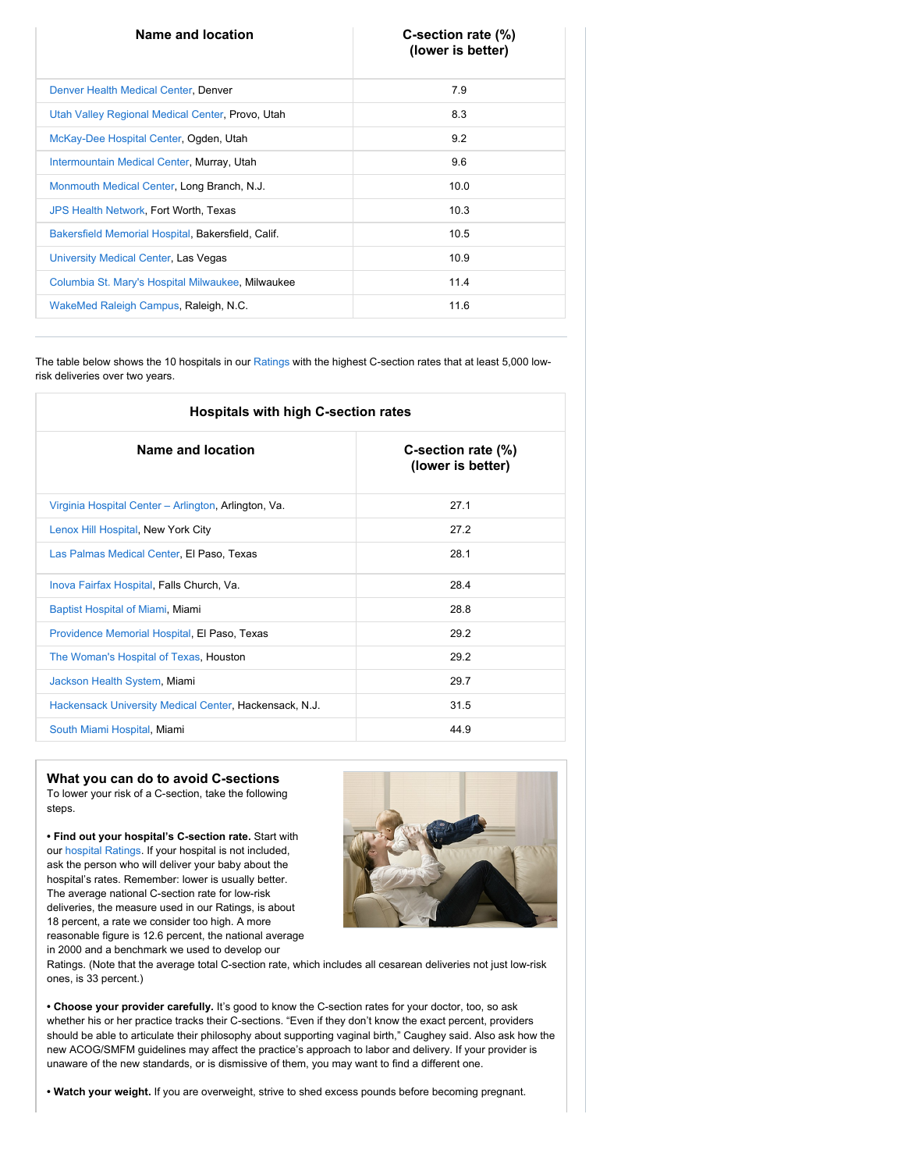| Name and location                                  | C-section rate (%)<br>(lower is better) |
|----------------------------------------------------|-----------------------------------------|
| Denver Health Medical Center, Denver               | 7.9                                     |
| Utah Valley Regional Medical Center, Provo, Utah   | 8.3                                     |
| McKay-Dee Hospital Center, Ogden, Utah             | 9.2                                     |
| Intermountain Medical Center, Murray, Utah         | 9.6                                     |
| Monmouth Medical Center, Long Branch, N.J.         | 10.0                                    |
| <b>JPS Health Network, Fort Worth, Texas</b>       | 10.3                                    |
| Bakersfield Memorial Hospital, Bakersfield, Calif. | 10.5                                    |
| University Medical Center, Las Vegas               | 10.9                                    |
| Columbia St. Mary's Hospital Milwaukee, Milwaukee  | 11.4                                    |
| WakeMed Raleigh Campus, Raleigh, N.C.              | 11.6                                    |

The table below shows the 10 hospitals in our [Ratings](http://www.consumerreports.org/health/doctors-hospitals/hospital-ratings.htm) with the highest C-section rates that at least 5,000 lowrisk deliveries over two years.

| <b>Hospitals with high C-section rates</b>             |                                         |
|--------------------------------------------------------|-----------------------------------------|
| Name and location                                      | C-section rate (%)<br>(lower is better) |
| Virginia Hospital Center - Arlington, Arlington, Va.   | 27.1                                    |
| Lenox Hill Hospital, New York City                     | 27.2                                    |
| Las Palmas Medical Center, El Paso, Texas              | 281                                     |
| Inova Fairfax Hospital, Falls Church, Va.              | 28.4                                    |
| Baptist Hospital of Miami, Miami                       | 28.8                                    |
| Providence Memorial Hospital, El Paso, Texas           | 29.2                                    |
| The Woman's Hospital of Texas, Houston                 | 29.2                                    |
| Jackson Health System, Miami                           | 29.7                                    |
| Hackensack University Medical Center, Hackensack, N.J. | 31.5                                    |
| South Miami Hospital, Miami                            | 44.9                                    |

**What you can do to avoid C-sections** To lower your risk of a C-section, take the following steps.

**• Find out your hospital's C-section rate.** Start with our [hospital Ratings.](http://www.consumerreports.org/health/doctors-hospitals/hospital-ratings.htm) If your hospital is not included, ask the person who will deliver your baby about the hospital's rates. Remember: lower is usually better. The average national C-section rate for low-risk deliveries, the measure used in our Ratings, is about 18 percent, a rate we consider too high. A more reasonable figure is 12.6 percent, the national average in 2000 and a benchmark we used to develop our



Ratings. (Note that the average total C-section rate, which includes all cesarean deliveries not just low-risk ones, is 33 percent.)

**• Choose your provider carefully***.* It's good to know the C-section rates for your doctor, too, so ask whether his or her practice tracks their C-sections. "Even if they don't know the exact percent, providers should be able to articulate their philosophy about supporting vaginal birth," Caughey said. Also ask how the new ACOG/SMFM guidelines may affect the practice's approach to labor and delivery. If your provider is unaware of the new standards, or is dismissive of them, you may want to find a different one.

**• Watch your weight.** If you are overweight, strive to shed excess pounds before becoming pregnant.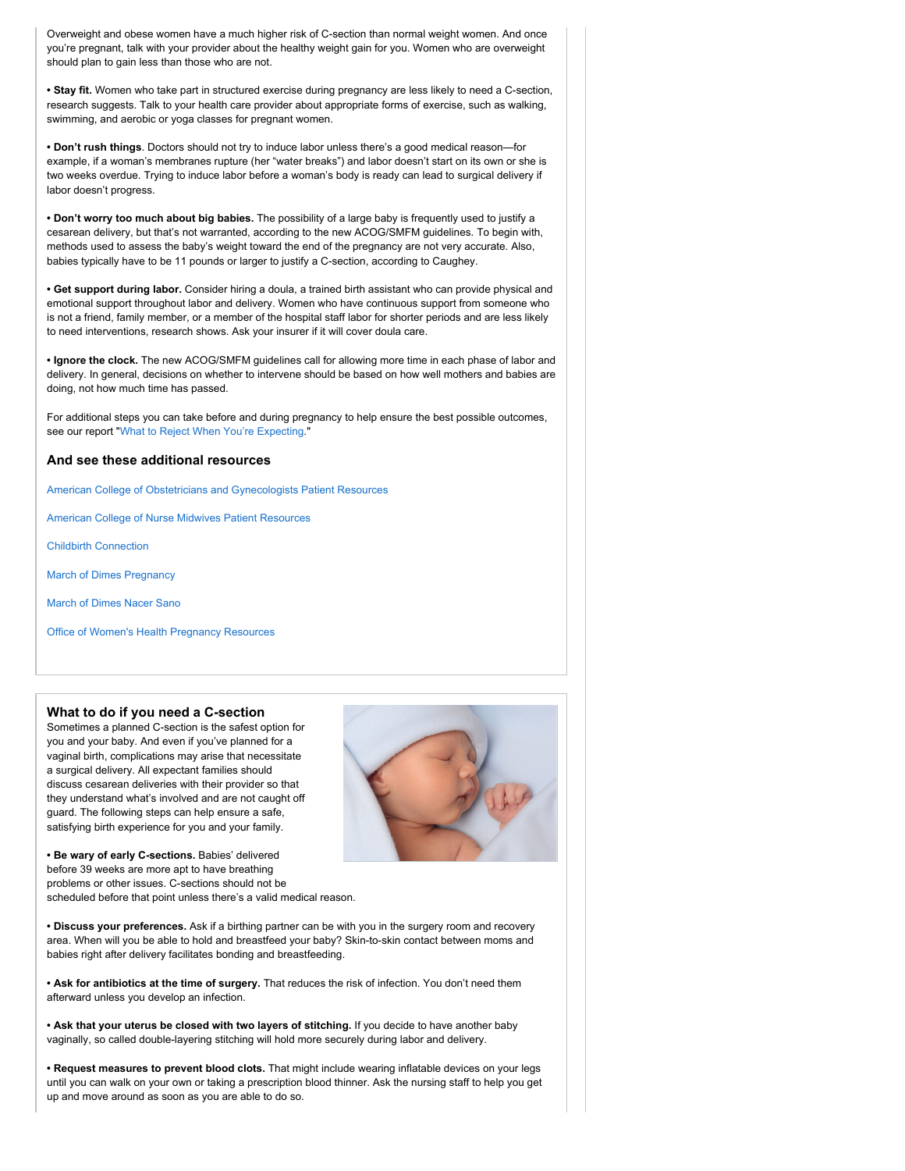Overweight and obese women have a much higher risk of C-section than normal weight women. And once you're pregnant, talk with your provider about the healthy weight gain for you. Women who are overweight should plan to gain less than those who are not.

**• Stay fit.** Women who take part in structured exercise during pregnancy are less likely to need a C-section, research suggests. Talk to your health care provider about appropriate forms of exercise, such as walking, swimming, and aerobic or yoga classes for pregnant women.

**• Don't rush things**. Doctors should not try to induce labor unless there's a good medical reason—for example, if a woman's membranes rupture (her "water breaks") and labor doesn't start on its own or she is two weeks overdue. Trying to induce labor before a woman's body is ready can lead to surgical delivery if labor doesn't progress.

**• Don't worry too much about big babies.** The possibility of a large baby is frequently used to justify a cesarean delivery, but that's not warranted, according to the new ACOG/SMFM guidelines. To begin with, methods used to assess the baby's weight toward the end of the pregnancy are not very accurate. Also, babies typically have to be 11 pounds or larger to justify a C-section, according to Caughey.

**• Get support during labor.** Consider hiring a doula, a trained birth assistant who can provide physical and emotional support throughout labor and delivery. Women who have continuous support from someone who is not a friend, family member, or a member of the hospital staff labor for shorter periods and are less likely to need interventions, research shows. Ask your insurer if it will cover doula care.

**• Ignore the clock.** The new ACOG/SMFM guidelines call for allowing more time in each phase of labor and delivery. In general, decisions on whether to intervene should be based on how well mothers and babies are doing, not how much time has passed.

For additional steps you can take before and during pregnancy to help ensure the best possible outcomes, see our report ["What to Reject When You're Expecting.](http://www.consumerreports.org/cro/2012/05/what-to-reject-when-you-re-expecting/index.htm)"

#### **And see these additional resources**

[American College of Obstetricians and Gynecologists Patient Resources](http://www.acog.org/For_Patients)

[American College of Nurse Midwives Patient Resources](http://www.midwife.org/Share-With-Women)

[Childbirth Connection](http://www.childbirthconnection.org/)

[March of Dimes Pregnancy](http://www.marchofdimes.com/pregnancy.aspx)

[March of Dimes Nacer Sano](http://nacersano.marchofdimes.com/embarazo.aspx)

[Office of Women's Health Pregnancy Resources](http://www.womenshealth.gov/pregnancy/)

#### **What to do if you need a C-section**

Sometimes a planned C-section is the safest option for you and your baby. And even if you've planned for a vaginal birth, complications may arise that necessitate a surgical delivery. All expectant families should discuss cesarean deliveries with their provider so that they understand what's involved and are not caught off guard. The following steps can help ensure a safe, satisfying birth experience for you and your family.



**• Be wary of early C-sections.** Babies' delivered before 39 weeks are more apt to have breathing problems or other issues. C-sections should not be scheduled before that point unless there's a valid medical reason.

**• Discuss your preferences.** Ask if a birthing partner can be with you in the surgery room and recovery area. When will you be able to hold and breastfeed your baby? Skin-to-skin contact between moms and babies right after delivery facilitates bonding and breastfeeding.

**• Ask for antibiotics at the time of surgery.** That reduces the risk of infection. You don't need them afterward unless you develop an infection.

**• Ask that your uterus be closed with two layers of stitching.** If you decide to have another baby vaginally, so called double-layering stitching will hold more securely during labor and delivery.

**• Request measures to prevent blood clots.** That might include wearing inflatable devices on your legs until you can walk on your own or taking a prescription blood thinner. Ask the nursing staff to help you get up and move around as soon as you are able to do so.